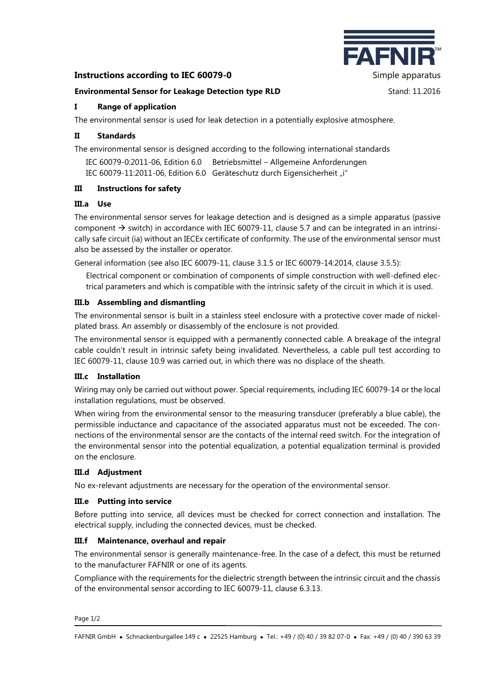# **Instructions according to IEC 60079-0** Simple apparatus



#### **Environmental Sensor for Leakage Detection type RLD** Stand: 11.2016

# **I Range of application**

The environmental sensor is used for leak detection in a potentially explosive atmosphere.

## **II Standards**

The environmental sensor is designed according to the following international standards

IEC 60079-0:2011-06, Edition 6.0 Betriebsmittel – Allgemeine Anforderungen IEC 60079-11:2011-06, Edition 6.0 Geräteschutz durch Eigensicherheit "i"

## **III Instructions for safety**

#### **III.a Use**

The environmental sensor serves for leakage detection and is designed as a simple apparatus (passive component  $\rightarrow$  switch) in accordance with IEC 60079-11, clause 5.7 and can be integrated in an intrinsically safe circuit (ia) without an IECEx certificate of conformity. The use of the environmental sensor must also be assessed by the installer or operator.

General information (see also IEC 60079-11, clause 3.1.5 or IEC 60079-14:2014, clause 3.5.5):

Electrical component or combination of components of simple construction with well-defined electrical parameters and which is compatible with the intrinsic safety of the circuit in which it is used.

## **III.b Assembling and dismantling**

The environmental sensor is built in a stainless steel enclosure with a protective cover made of nickelplated brass. An assembly or disassembly of the enclosure is not provided.

The environmental sensor is equipped with a permanently connected cable. A breakage of the integral cable couldn't result in intrinsic safety being invalidated. Nevertheless, a cable pull test according to IEC 60079-11, clause 10.9 was carried out, in which there was no displace of the sheath.

#### **III.c Installation**

Wiring may only be carried out without power. Special requirements, including IEC 60079-14 or the local installation regulations, must be observed.

When wiring from the environmental sensor to the measuring transducer (preferably a blue cable), the permissible inductance and capacitance of the associated apparatus must not be exceeded. The connections of the environmental sensor are the contacts of the internal reed switch. For the integration of the environmental sensor into the potential equalization, a potential equalization terminal is provided on the enclosure.

#### **III.d Adjustment**

No ex-relevant adjustments are necessary for the operation of the environmental sensor.

#### **III.e Putting into service**

Before putting into service, all devices must be checked for correct connection and installation. The electrical supply, including the connected devices, must be checked.

# **III.f Maintenance, overhaul and repair**

The environmental sensor is generally maintenance-free. In the case of a defect, this must be returned to the manufacturer FAFNIR or one of its agents.

Compliance with the requirements for the dielectric strength between the intrinsic circuit and the chassis of the environmental sensor according to IEC 60079-11, clause 6.3.13.

Page 1/2